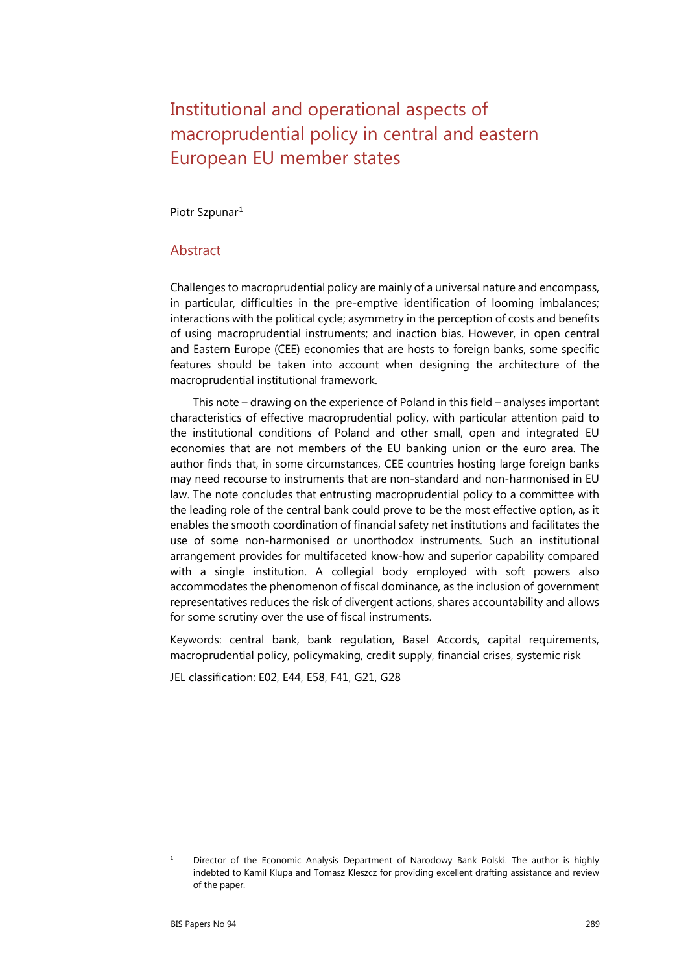# Institutional and operational aspects of macroprudential policy in central and eastern European EU member states

[Piotr Szpunar](https://papers.ssrn.com/sol3/cf_dev/AbsByAuth.cfm?per_id=2670479)<sup>[1](#page-0-0)</sup>

#### **Abstract**

Challenges to macroprudential policy are mainly of a universal nature and encompass, in particular, difficulties in the pre-emptive identification of looming imbalances; interactions with the political cycle; asymmetry in the perception of costs and benefits of using macroprudential instruments; and inaction bias. However, in open central and Eastern Europe (CEE) economies that are hosts to foreign banks, some specific features should be taken into account when designing the architecture of the macroprudential institutional framework.

This note – drawing on the experience of Poland in this field – analyses important characteristics of effective macroprudential policy, with particular attention paid to the institutional conditions of Poland and other small, open and integrated EU economies that are not members of the EU banking union or the euro area. The author finds that, in some circumstances, CEE countries hosting large foreign banks may need recourse to instruments that are non-standard and non-harmonised in EU law. The note concludes that entrusting macroprudential policy to a committee with the leading role of the central bank could prove to be the most effective option, as it enables the smooth coordination of financial safety net institutions and facilitates the use of some non-harmonised or unorthodox instruments. Such an institutional arrangement provides for multifaceted know-how and superior capability compared with a single institution. A collegial body employed with soft powers also accommodates the phenomenon of fiscal dominance, as the inclusion of government representatives reduces the risk of divergent actions, shares accountability and allows for some scrutiny over the use of fiscal instruments.

Keywords: central bank, bank regulation, Basel Accords, capital requirements, macroprudential policy, policymaking, credit supply, financial crises, systemic risk

JEL classification: E02, E44, E58, F41, G21, G28

<span id="page-0-0"></span><sup>&</sup>lt;sup>1</sup> Director of the Economic Analysis Department of Narodowy Bank Polski. The author is highly indebted to Kamil Klupa and Tomasz Kleszcz for providing excellent drafting assistance and review of the paper.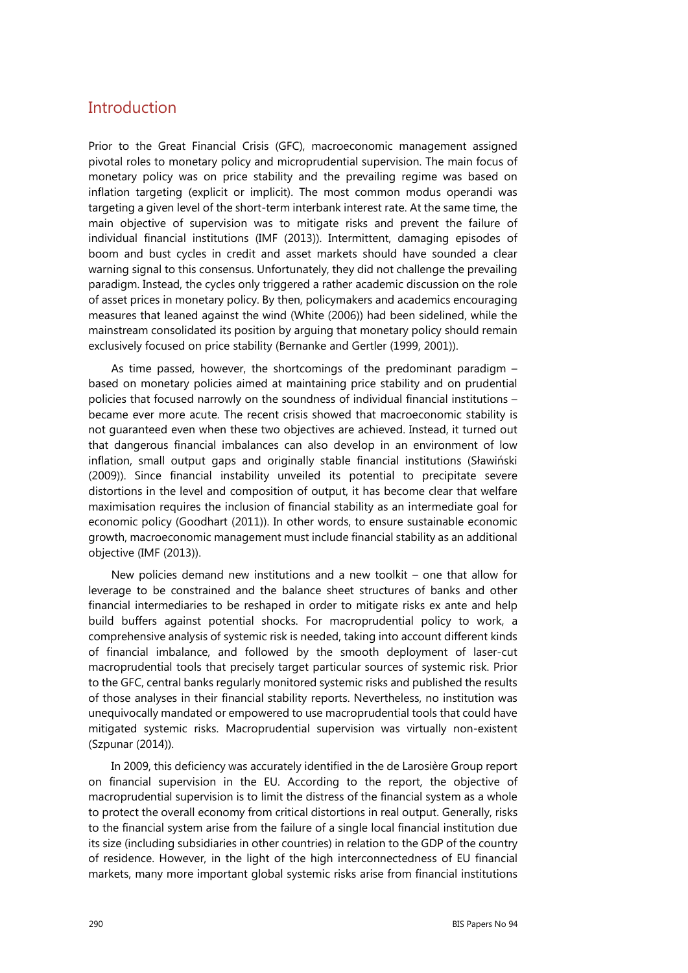# **Introduction**

Prior to the Great Financial Crisis (GFC), macroeconomic management assigned pivotal roles to monetary policy and microprudential supervision. The main focus of monetary policy was on price stability and the prevailing regime was based on inflation targeting (explicit or implicit). The most common modus operandi was targeting a given level of the short-term interbank interest rate. At the same time, the main objective of supervision was to mitigate risks and prevent the failure of individual financial institutions (IMF (2013)). Intermittent, damaging episodes of boom and bust cycles in credit and asset markets should have sounded a clear warning signal to this consensus. Unfortunately, they did not challenge the prevailing paradigm. Instead, the cycles only triggered a rather academic discussion on the role of asset prices in monetary policy. By then, policymakers and academics encouraging measures that leaned against the wind (White (2006)) had been sidelined, while the mainstream consolidated its position by arguing that monetary policy should remain exclusively focused on price stability (Bernanke and Gertler (1999, 2001)).

As time passed, however, the shortcomings of the predominant paradigm – based on monetary policies aimed at maintaining price stability and on prudential policies that focused narrowly on the soundness of individual financial institutions – became ever more acute. The recent crisis showed that macroeconomic stability is not guaranteed even when these two objectives are achieved. Instead, it turned out that dangerous financial imbalances can also develop in an environment of low inflation, small output gaps and originally stable financial institutions (Sławiński (2009)). Since financial instability unveiled its potential to precipitate severe distortions in the level and composition of output, it has become clear that welfare maximisation requires the inclusion of financial stability as an intermediate goal for economic policy (Goodhart (2011)). In other words, to ensure sustainable economic growth, macroeconomic management must include financial stability as an additional objective (IMF (2013)).

New policies demand new institutions and a new toolkit – one that allow for leverage to be constrained and the balance sheet structures of banks and other financial intermediaries to be reshaped in order to mitigate risks ex ante and help build buffers against potential shocks. For macroprudential policy to work, a comprehensive analysis of systemic risk is needed, taking into account different kinds of financial imbalance, and followed by the smooth deployment of laser-cut macroprudential tools that precisely target particular sources of systemic risk. Prior to the GFC, central banks regularly monitored systemic risks and published the results of those analyses in their financial stability reports. Nevertheless, no institution was unequivocally mandated or empowered to use macroprudential tools that could have mitigated systemic risks. Macroprudential supervision was virtually non-existent (Szpunar (2014)).

In 2009, this deficiency was accurately identified in the de Larosière Group report on financial supervision in the EU. According to the report, the objective of macroprudential supervision is to limit the distress of the financial system as a whole to protect the overall economy from critical distortions in real output. Generally, risks to the financial system arise from the failure of a single local financial institution due its size (including subsidiaries in other countries) in relation to the GDP of the country of residence. However, in the light of the high interconnectedness of EU financial markets, many more important global systemic risks arise from financial institutions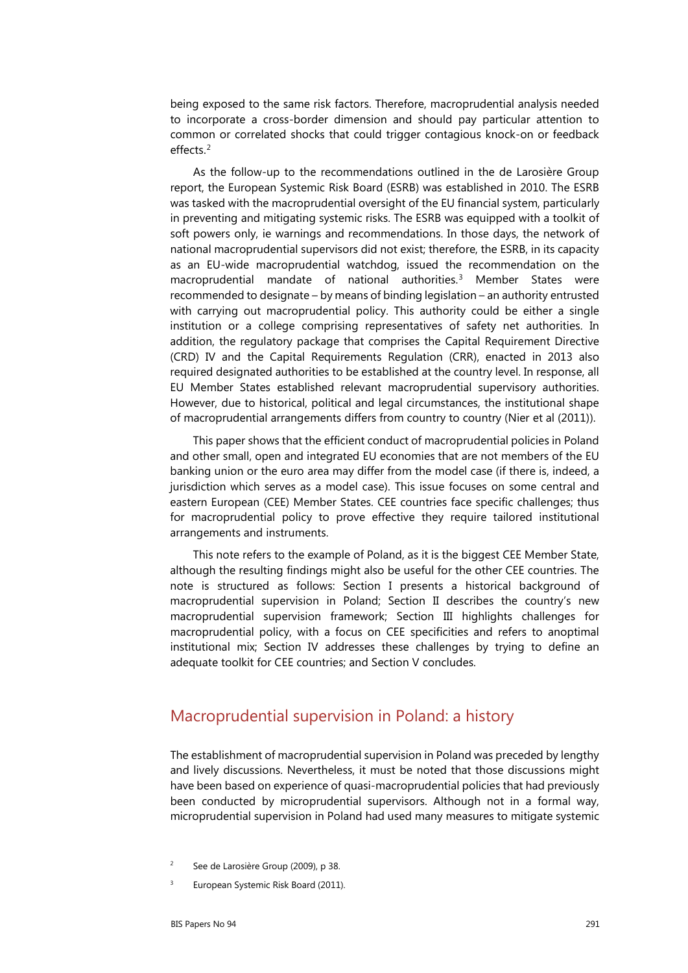being exposed to the same risk factors. Therefore, macroprudential analysis needed to incorporate a cross-border dimension and should pay particular attention to common or correlated shocks that could trigger contagious knock-on or feedback effects.[2](#page-2-0)

As the follow-up to the recommendations outlined in the de Larosière Group report, the European Systemic Risk Board (ESRB) was established in 2010. The ESRB was tasked with the [macroprudential oversight](https://en.wikipedia.org/wiki/Macroprudential_regulation) of the EU financial system, particularly in preventing and mitigating [systemic risks](https://en.wikipedia.org/wiki/Systemic_risk). The ESRB was equipped with a toolkit of soft powers only, ie warnings and recommendations. In those days, the network of national macroprudential supervisors did not exist; therefore, the ESRB, in its capacity as an EU-wide macroprudential watchdog, issued the recommendation on the macroprudential mandate of national authorities.<sup>[3](#page-2-1)</sup> Member States were recommended to designate – by means of binding legislation – an authority entrusted with carrying out macroprudential policy. This authority could be either a single institution or a college comprising representatives of safety net authorities. In addition, the regulatory package that comprises the Capital Requirement Directive (CRD) IV and the Capital Requirements Regulation (CRR), enacted in 2013 also required designated authorities to be established at the country level. In response, all EU Member States established relevant macroprudential supervisory authorities. However, due to historical, political and legal circumstances, the institutional shape of macroprudential arrangements differs from country to country (Nier et al (2011)).

This paper shows that the efficient conduct of macroprudential policies in Poland and other small, open and integrated EU economies that are not members of the EU banking union or the euro area may differ from the model case (if there is, indeed, a jurisdiction which serves as a model case). This issue focuses on some central and eastern European (CEE) Member States. CEE countries face specific challenges; thus for macroprudential policy to prove effective they require tailored institutional arrangements and instruments.

This note refers to the example of Poland, as it is the biggest CEE Member State, although the resulting findings might also be useful for the other CEE countries. The note is structured as follows: Section I presents a historical background of macroprudential supervision in Poland; Section II describes the country's new macroprudential supervision framework; Section III highlights challenges for macroprudential policy, with a focus on CEE specificities and refers to anoptimal institutional mix; Section IV addresses these challenges by trying to define an adequate toolkit for CEE countries; and Section V concludes.

## Macroprudential supervision in Poland: a history

The establishment of macroprudential supervision in Poland was preceded by lengthy and lively discussions. Nevertheless, it must be noted that those discussions might have been based on experience of quasi-macroprudential policies that had previously been conducted by microprudential supervisors. Although not in a formal way, microprudential supervision in Poland had used many measures to mitigate systemic

- <span id="page-2-0"></span><sup>2</sup> See de Larosière Group (2009), p 38.
- <span id="page-2-1"></span><sup>3</sup> European Systemic Risk Board (2011).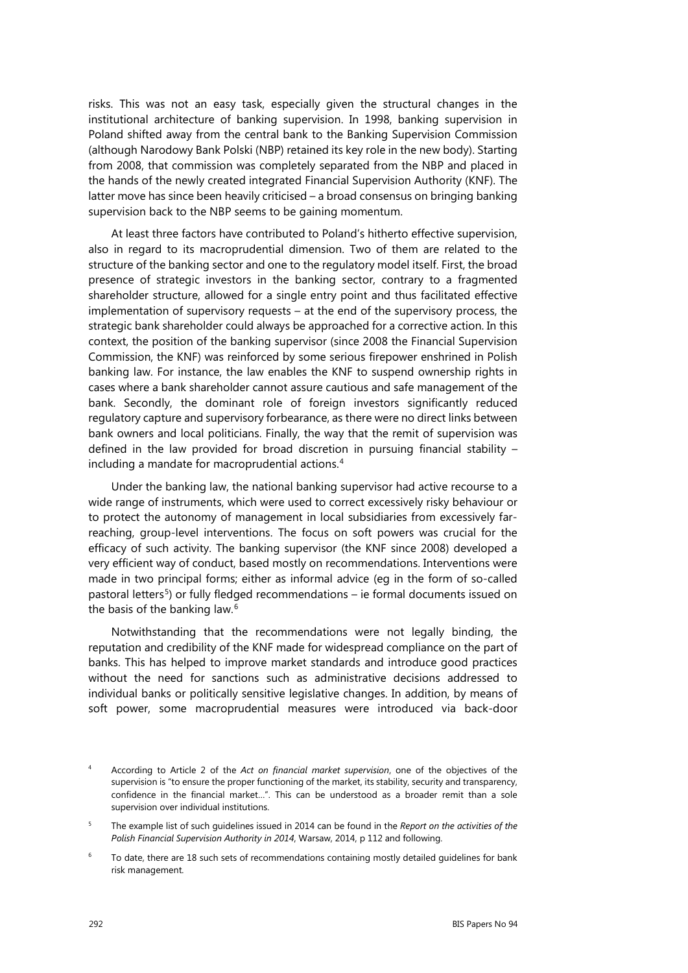risks. This was not an easy task, especially given the structural changes in the institutional architecture of banking supervision. In 1998, banking supervision in Poland shifted away from the central bank to the Banking Supervision Commission (although Narodowy Bank Polski (NBP) retained its key role in the new body). Starting from 2008, that commission was completely separated from the NBP and placed in the hands of the newly created integrated Financial Supervision Authority (KNF). The latter move has since been heavily criticised – a broad consensus on bringing banking supervision back to the NBP seems to be gaining momentum.

At least three factors have contributed to Poland's hitherto effective supervision, also in regard to its macroprudential dimension. Two of them are related to the structure of the banking sector and one to the regulatory model itself. First, the broad presence of strategic investors in the banking sector, contrary to a fragmented shareholder structure, allowed for a single entry point and thus facilitated effective implementation of supervisory requests – at the end of the supervisory process, the strategic bank shareholder could always be approached for a corrective action. In this context, the position of the banking supervisor (since 2008 the Financial Supervision Commission, the KNF) was reinforced by some serious firepower enshrined in Polish banking law. For instance, the law enables the KNF to suspend ownership rights in cases where a bank shareholder cannot assure cautious and safe management of the bank. Secondly, the dominant role of foreign investors significantly reduced regulatory capture and supervisory forbearance, as there were no direct links between bank owners and local politicians. Finally, the way that the remit of supervision was defined in the law provided for broad discretion in pursuing financial stability – including a mandate for macroprudential actions.<sup>[4](#page-3-0)</sup>

Under the banking law, the national banking supervisor had active recourse to a wide range of instruments, which were used to correct excessively risky behaviour or to protect the autonomy of management in local subsidiaries from excessively farreaching, group-level interventions. The focus on soft powers was crucial for the efficacy of such activity. The banking supervisor (the KNF since 2008) developed a very efficient way of conduct, based mostly on recommendations. Interventions were made in two principal forms; either as informal advice (eg in the form of so-called pastoral letters<sup>[5](#page-3-1)</sup>) or fully fledged recommendations – ie formal documents issued on the basis of the banking law.<sup>[6](#page-3-2)</sup>

Notwithstanding that the recommendations were not legally binding, the reputation and credibility of the KNF made for widespread compliance on the part of banks. This has helped to improve market standards and introduce good practices without the need for sanctions such as administrative decisions addressed to individual banks or politically sensitive legislative changes. In addition, by means of soft power, some macroprudential measures were introduced via back-door

<span id="page-3-0"></span><sup>4</sup> According to Article 2 of the *Act on financial market supervision*, one of the objectives of the supervision is "to ensure the proper functioning of the market, its stability, security and transparency, confidence in the financial market…". This can be understood as a broader remit than a sole supervision over individual institutions.

<span id="page-3-1"></span><sup>5</sup> The example list of such guidelines issued in 2014 can be found in the *Report on the activities of the Polish Financial Supervision Authority in 2014*, Warsaw, 2014, p 112 and following.

<span id="page-3-2"></span> $6$  To date, there are 18 such sets of recommendations containing mostly detailed guidelines for bank risk management.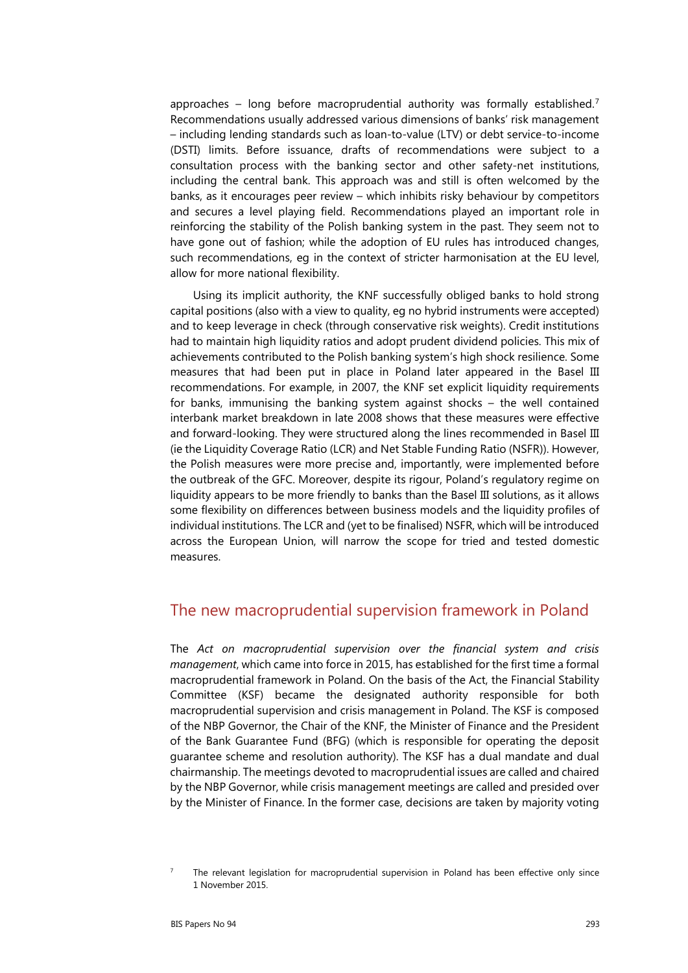approaches – long before macroprudential authority was formally established.<sup>[7](#page-4-0)</sup> Recommendations usually addressed various dimensions of banks' risk management – including lending standards such as loan-to-value (LTV) or debt service-to-income (DSTI) limits. Before issuance, drafts of recommendations were subject to a consultation process with the banking sector and other safety-net institutions, including the central bank. This approach was and still is often welcomed by the banks, as it encourages peer review – which inhibits risky behaviour by competitors and secures a level playing field. Recommendations played an important role in reinforcing the stability of the Polish banking system in the past. They seem not to have gone out of fashion; while the adoption of EU rules has introduced changes, such recommendations, eg in the context of stricter harmonisation at the EU level, allow for more national flexibility.

Using its implicit authority, the KNF successfully obliged banks to hold strong capital positions (also with a view to quality, eg no hybrid instruments were accepted) and to keep leverage in check (through conservative risk weights). Credit institutions had to maintain high liquidity ratios and adopt prudent dividend policies. This mix of achievements contributed to the Polish banking system's high shock resilience. Some measures that had been put in place in Poland later appeared in the Basel III recommendations. For example, in 2007, the KNF set explicit liquidity requirements for banks, immunising the banking system against shocks – the well contained interbank market breakdown in late 2008 shows that these measures were effective and forward-looking. They were structured along the lines recommended in Basel III (ie the Liquidity Coverage Ratio (LCR) and Net Stable Funding Ratio (NSFR)). However, the Polish measures were more precise and, importantly, were implemented before the outbreak of the GFC. Moreover, despite its rigour, Poland's regulatory regime on liquidity appears to be more friendly to banks than the Basel III solutions, as it allows some flexibility on differences between business models and the liquidity profiles of individual institutions. The LCR and (yet to be finalised) NSFR, which will be introduced across the European Union, will narrow the scope for tried and tested domestic measures.

#### The new macroprudential supervision framework in Poland

The *Act on macroprudential supervision over the financial system and crisis management*, which came into force in 2015, has established for the first time a formal macroprudential framework in Poland. On the basis of the Act, the Financial Stability Committee (KSF) became the designated authority responsible for both macroprudential supervision and crisis management in Poland. The KSF is composed of the NBP Governor, the Chair of the KNF, the Minister of Finance and the President of the Bank Guarantee Fund (BFG) (which is responsible for operating the deposit guarantee scheme and resolution authority). The KSF has a dual mandate and dual chairmanship. The meetings devoted to macroprudential issues are called and chaired by the NBP Governor, while crisis management meetings are called and presided over by the Minister of Finance. In the former case, decisions are taken by majority voting

<span id="page-4-0"></span> $7$  The relevant legislation for macroprudential supervision in Poland has been effective only since 1 November 2015.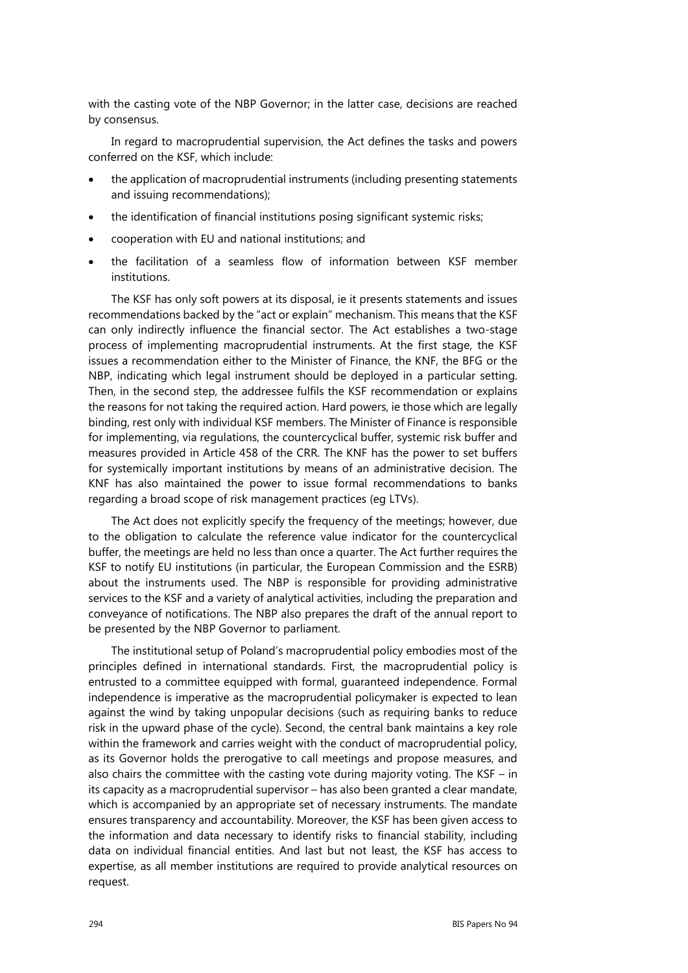with the casting vote of the NBP Governor; in the latter case, decisions are reached by consensus.

In regard to macroprudential supervision, the Act defines the tasks and powers conferred on the KSF, which include:

- the application of macroprudential instruments (including presenting statements and issuing recommendations);
- the identification of financial institutions posing significant systemic risks;
- cooperation with EU and national institutions; and
- the facilitation of a seamless flow of information between KSF member institutions.

The KSF has only soft powers at its disposal, ie it presents statements and issues recommendations backed by the "act or explain" mechanism. This means that the KSF can only indirectly influence the financial sector. The Act establishes a two-stage process of implementing macroprudential instruments. At the first stage, the KSF issues a recommendation either to the Minister of Finance, the KNF, the BFG or the NBP, indicating which legal instrument should be deployed in a particular setting. Then, in the second step, the addressee fulfils the KSF recommendation or explains the reasons for not taking the required action. Hard powers, ie those which are legally binding, rest only with individual KSF members. The Minister of Finance is responsible for implementing, via regulations, the countercyclical buffer, systemic risk buffer and measures provided in Article 458 of the CRR. The KNF has the power to set buffers for systemically important institutions by means of an administrative decision. The KNF has also maintained the power to issue formal recommendations to banks regarding a broad scope of risk management practices (eg LTVs).

The Act does not explicitly specify the frequency of the meetings; however, due to the obligation to calculate the reference value indicator for the countercyclical buffer, the meetings are held no less than once a quarter. The Act further requires the KSF to notify EU institutions (in particular, the European Commission and the ESRB) about the instruments used. The NBP is responsible for providing administrative services to the KSF and a variety of analytical activities, including the preparation and conveyance of notifications. The NBP also prepares the draft of the annual report to be presented by the NBP Governor to parliament.

The institutional setup of Poland's macroprudential policy embodies most of the principles defined in international standards. First, the macroprudential policy is entrusted to a committee equipped with formal, guaranteed independence. Formal independence is imperative as the macroprudential policymaker is expected to lean against the wind by taking unpopular decisions (such as requiring banks to reduce risk in the upward phase of the cycle). Second, the central bank maintains a key role within the framework and carries weight with the conduct of macroprudential policy, as its Governor holds the prerogative to call meetings and propose measures, and also chairs the committee with the casting vote during majority voting. The KSF  $-$  in its capacity as a macroprudential supervisor – has also been granted a clear mandate, which is accompanied by an appropriate set of necessary instruments. The mandate ensures transparency and accountability. Moreover, the KSF has been given access to the information and data necessary to identify risks to financial stability, including data on individual financial entities. And last but not least, the KSF has access to expertise, as all member institutions are required to provide analytical resources on request.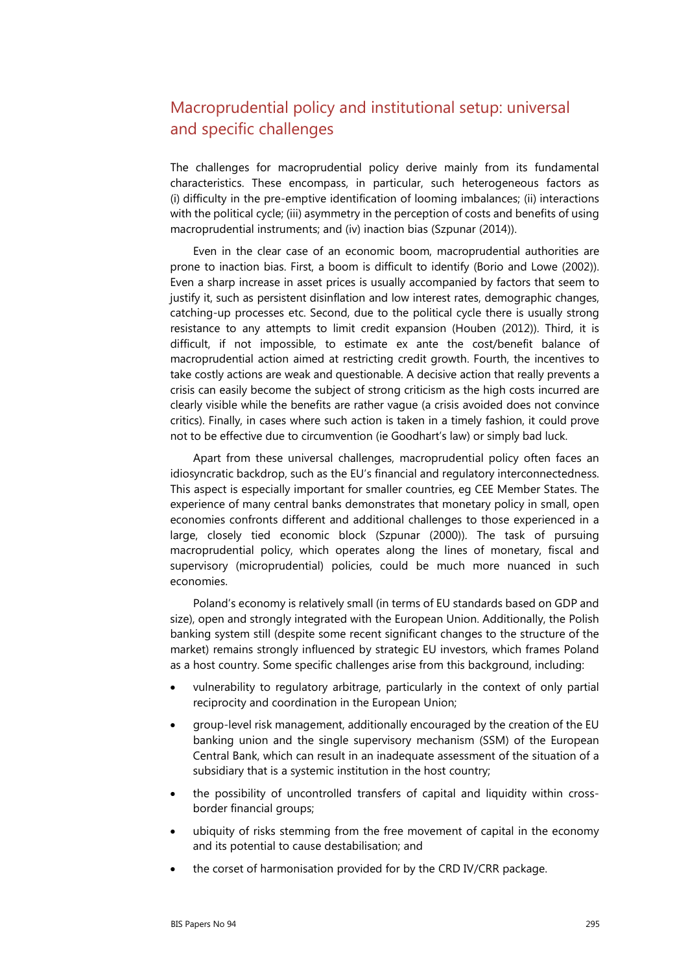# Macroprudential policy and institutional setup: universal and specific challenges

The challenges for macroprudential policy derive mainly from its fundamental characteristics. These encompass, in particular, such heterogeneous factors as (i) difficulty in the pre-emptive identification of looming imbalances; (ii) interactions with the political cycle; (iii) asymmetry in the perception of costs and benefits of using macroprudential instruments; and (iv) inaction bias (Szpunar (2014)).

Even in the clear case of an economic boom, macroprudential authorities are prone to inaction bias. First, a boom is difficult to identify (Borio and Lowe (2002)). Even a sharp increase in asset prices is usually accompanied by factors that seem to justify it, such as persistent disinflation and low interest rates, demographic changes, catching-up processes etc. Second, due to the political cycle there is usually strong resistance to any attempts to limit credit expansion (Houben (2012)). Third, it is difficult, if not impossible, to estimate ex ante the cost/benefit balance of macroprudential action aimed at restricting credit growth. Fourth, the incentives to take costly actions are weak and questionable. A decisive action that really prevents a crisis can easily become the subject of strong criticism as the high costs incurred are clearly visible while the benefits are rather vague (a crisis avoided does not convince critics). Finally, in cases where such action is taken in a timely fashion, it could prove not to be effective due to circumvention (ie Goodhart's law) or simply bad luck.

Apart from these universal challenges, macroprudential policy often faces an idiosyncratic backdrop, such as the EU's financial and regulatory interconnectedness. This aspect is especially important for smaller countries, eg CEE Member States. The experience of many central banks demonstrates that monetary policy in small, open economies confronts different and additional challenges to those experienced in a large, closely tied economic block (Szpunar (2000)). The task of pursuing macroprudential policy, which operates along the lines of monetary, fiscal and supervisory (microprudential) policies, could be much more nuanced in such economies.

Poland's economy is relatively small (in terms of EU standards based on GDP and size), open and strongly integrated with the European Union. Additionally, the Polish banking system still (despite some recent significant changes to the structure of the market) remains strongly influenced by strategic EU investors, which frames Poland as a host country. Some specific challenges arise from this background, including:

- vulnerability to regulatory arbitrage, particularly in the context of only partial reciprocity and coordination in the European Union;
- group-level risk management, additionally encouraged by the creation of the EU banking union and the single supervisory mechanism (SSM) of the European Central Bank, which can result in an inadequate assessment of the situation of a subsidiary that is a systemic institution in the host country;
- the possibility of uncontrolled transfers of capital and liquidity within crossborder financial groups;
- ubiquity of risks stemming from the free movement of capital in the economy and its potential to cause destabilisation; and
- the corset of harmonisation provided for by the CRD IV/CRR package.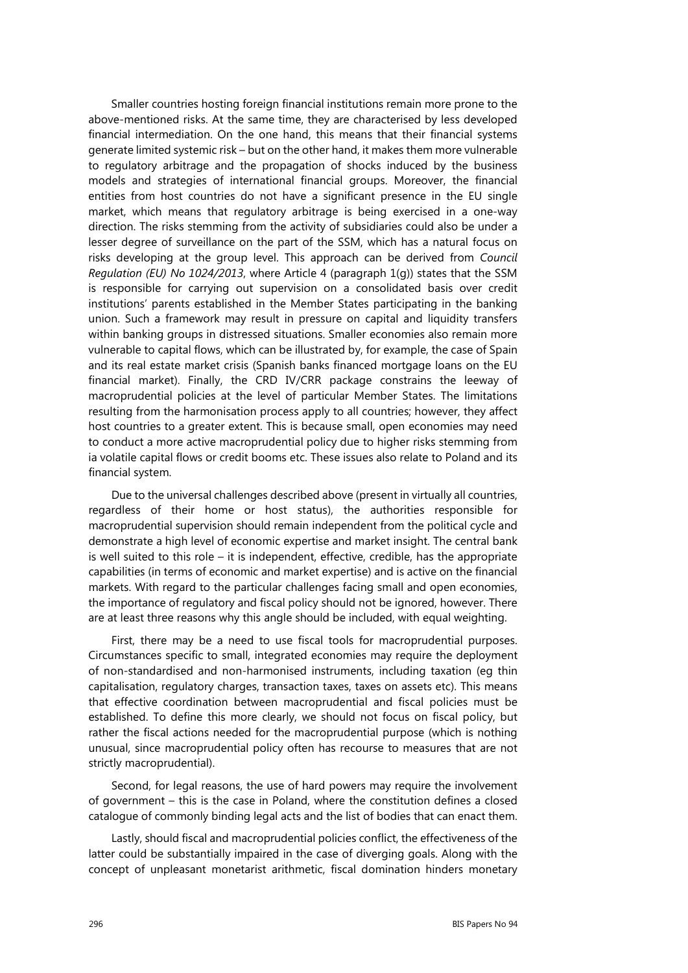Smaller countries hosting foreign financial institutions remain more prone to the above-mentioned risks. At the same time, they are characterised by less developed financial intermediation. On the one hand, this means that their financial systems generate limited systemic risk – but on the other hand, it makes them more vulnerable to regulatory arbitrage and the propagation of shocks induced by the business models and strategies of international financial groups. Moreover, the financial entities from host countries do not have a significant presence in the EU single market, which means that regulatory arbitrage is being exercised in a one-way direction. The risks stemming from the activity of subsidiaries could also be under a lesser degree of surveillance on the part of the SSM, which has a natural focus on risks developing at the group level. This approach can be derived from *Council Regulation (EU) No 1024/2013*, where Article 4 (paragraph 1(g)) states that the SSM is responsible for carrying out supervision on a consolidated basis over credit institutions' parents established in the Member States participating in the banking union. Such a framework may result in pressure on capital and liquidity transfers within banking groups in distressed situations. Smaller economies also remain more vulnerable to capital flows, which can be illustrated by, for example, the case of Spain and its real estate market crisis (Spanish banks financed mortgage loans on the EU financial market). Finally, the CRD IV/CRR package constrains the leeway of macroprudential policies at the level of particular Member States. The limitations resulting from the harmonisation process apply to all countries; however, they affect host countries to a greater extent. This is because small, open economies may need to conduct a more active macroprudential policy due to higher risks stemming from ia volatile capital flows or credit booms etc. These issues also relate to Poland and its financial system.

Due to the universal challenges described above (present in virtually all countries, regardless of their home or host status), the authorities responsible for macroprudential supervision should remain independent from the political cycle and demonstrate a high level of economic expertise and market insight. The central bank is well suited to this role – it is independent, effective, credible, has the appropriate capabilities (in terms of economic and market expertise) and is active on the financial markets. With regard to the particular challenges facing small and open economies, the importance of regulatory and fiscal policy should not be ignored, however. There are at least three reasons why this angle should be included, with equal weighting.

First, there may be a need to use fiscal tools for macroprudential purposes. Circumstances specific to small, integrated economies may require the deployment of non-standardised and non-harmonised instruments, including taxation (eg thin capitalisation, regulatory charges, transaction taxes, taxes on assets etc). This means that effective coordination between macroprudential and fiscal policies must be established. To define this more clearly, we should not focus on fiscal policy, but rather the fiscal actions needed for the macroprudential purpose (which is nothing unusual, since macroprudential policy often has recourse to measures that are not strictly macroprudential).

Second, for legal reasons, the use of hard powers may require the involvement of government – this is the case in Poland, where the constitution defines a closed catalogue of commonly binding legal acts and the list of bodies that can enact them.

Lastly, should fiscal and macroprudential policies conflict, the effectiveness of the latter could be substantially impaired in the case of diverging goals. Along with the concept of unpleasant monetarist arithmetic, fiscal domination hinders monetary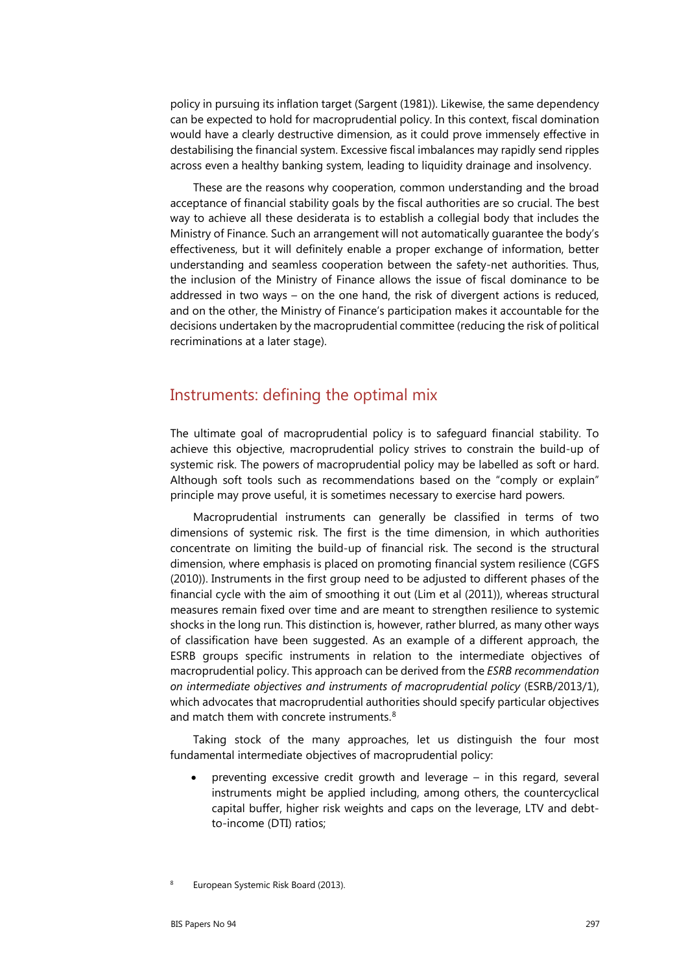policy in pursuing its inflation target (Sargent (1981)). Likewise, the same dependency can be expected to hold for macroprudential policy. In this context, fiscal domination would have a clearly destructive dimension, as it could prove immensely effective in destabilising the financial system. Excessive fiscal imbalances may rapidly send ripples across even a healthy banking system, leading to liquidity drainage and insolvency.

These are the reasons why cooperation, common understanding and the broad acceptance of financial stability goals by the fiscal authorities are so crucial. The best way to achieve all these desiderata is to establish a collegial body that includes the Ministry of Finance. Such an arrangement will not automatically guarantee the body's effectiveness, but it will definitely enable a proper exchange of information, better understanding and seamless cooperation between the safety-net authorities. Thus, the inclusion of the Ministry of Finance allows the issue of fiscal dominance to be addressed in two ways – on the one hand, the risk of divergent actions is reduced, and on the other, the Ministry of Finance's participation makes it accountable for the decisions undertaken by the macroprudential committee (reducing the risk of political recriminations at a later stage).

#### Instruments: defining the optimal mix

The ultimate goal of macroprudential policy is to safeguard financial stability. To achieve this objective, macroprudential policy strives to constrain the build-up of systemic risk. The powers of macroprudential policy may be labelled as soft or hard. Although soft tools such as recommendations based on the "comply or explain" principle may prove useful, it is sometimes necessary to exercise hard powers.

Macroprudential instruments can generally be classified in terms of two dimensions of systemic risk. The first is the time dimension, in which authorities concentrate on limiting the build-up of financial risk. The second is the structural dimension, where emphasis is placed on promoting financial system resilience (CGFS (2010)). Instruments in the first group need to be adjusted to different phases of the financial cycle with the aim of smoothing it out (Lim et al (2011)), whereas structural measures remain fixed over time and are meant to strengthen resilience to systemic shocks in the long run. This distinction is, however, rather blurred, as many other ways of classification have been suggested. As an example of a different approach, the ESRB groups specific instruments in relation to the intermediate objectives of macroprudential policy. This approach can be derived from the *ESRB recommendation on intermediate objectives and instruments of macroprudential policy* (ESRB/2013/1), which advocates that macroprudential authorities should specify particular objectives and match them with concrete instruments.<sup>[8](#page-8-0)</sup>

Taking stock of the many approaches, let us distinguish the four most fundamental intermediate objectives of macroprudential policy:

preventing excessive credit growth and leverage  $-$  in this regard, several instruments might be applied including, among others, the countercyclical capital buffer, higher risk weights and caps on the leverage, LTV and debtto-income (DTI) ratios;

<span id="page-8-0"></span>European Systemic Risk Board (2013).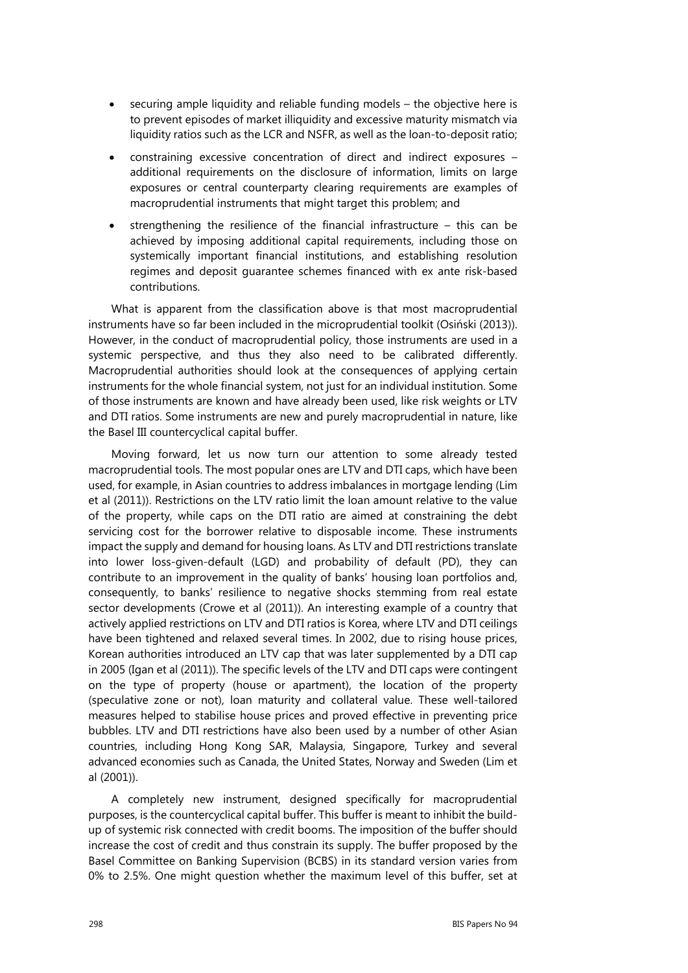- securing ample liquidity and reliable funding models the objective here is to prevent episodes of market illiquidity and excessive maturity mismatch via liquidity ratios such as the LCR and NSFR, as well as the loan-to-deposit ratio;
- constraining excessive concentration of direct and indirect exposures additional requirements on the disclosure of information, limits on large exposures or central counterparty clearing requirements are examples of macroprudential instruments that might target this problem; and
- strengthening the resilience of the financial infrastructure  $-$  this can be achieved by imposing additional capital requirements, including those on systemically important financial institutions, and establishing resolution regimes and deposit guarantee schemes financed with ex ante risk-based contributions.

What is apparent from the classification above is that most macroprudential instruments have so far been included in the microprudential toolkit (Osiński (2013)). However, in the conduct of macroprudential policy, those instruments are used in a systemic perspective, and thus they also need to be calibrated differently. Macroprudential authorities should look at the consequences of applying certain instruments for the whole financial system, not just for an individual institution. Some of those instruments are known and have already been used, like risk weights or LTV and DTI ratios. Some instruments are new and purely macroprudential in nature, like the Basel III countercyclical capital buffer.

Moving forward, let us now turn our attention to some already tested macroprudential tools. The most popular ones are LTV and DTI caps, which have been used, for example, in Asian countries to address imbalances in mortgage lending (Lim et al (2011)). Restrictions on the LTV ratio limit the loan amount relative to the value of the property, while caps on the DTI ratio are aimed at constraining the debt servicing cost for the borrower relative to disposable income. These instruments impact the supply and demand for housing loans. As LTV and DTI restrictions translate into lower loss-given-default (LGD) and probability of default (PD), they can contribute to an improvement in the quality of banks' housing loan portfolios and, consequently, to banks' resilience to negative shocks stemming from real estate sector developments (Crowe et al (2011)). An interesting example of a country that actively applied restrictions on LTV and DTI ratios is Korea, where LTV and DTI ceilings have been tightened and relaxed several times. In 2002, due to rising house prices, Korean authorities introduced an LTV cap that was later supplemented by a DTI cap in 2005 (Igan et al (2011)). The specific levels of the LTV and DTI caps were contingent on the type of property (house or apartment), the location of the property (speculative zone or not), loan maturity and collateral value. These well-tailored measures helped to stabilise house prices and proved effective in preventing price bubbles. LTV and DTI restrictions have also been used by a number of other Asian countries, including Hong Kong SAR, Malaysia, Singapore, Turkey and several advanced economies such as Canada, the United States, Norway and Sweden (Lim et al (2001)).

A completely new instrument, designed specifically for macroprudential purposes, is the countercyclical capital buffer. This buffer is meant to inhibit the buildup of systemic risk connected with credit booms. The imposition of the buffer should increase the cost of credit and thus constrain its supply. The buffer proposed by the Basel Committee on Banking Supervision (BCBS) in its standard version varies from 0% to 2.5%. One might question whether the maximum level of this buffer, set at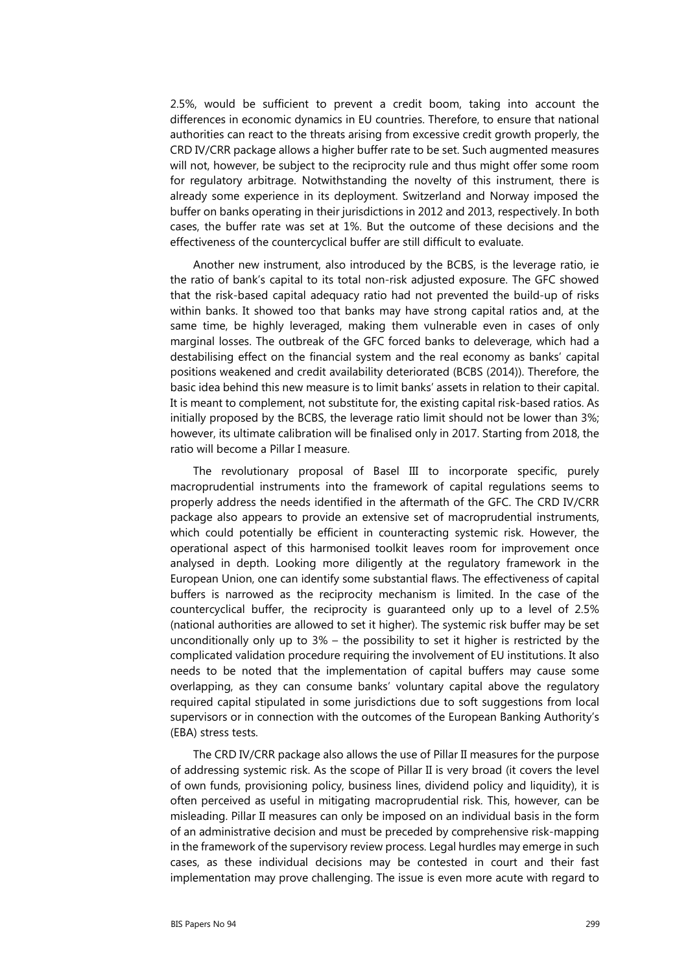2.5%, would be sufficient to prevent a credit boom, taking into account the differences in economic dynamics in EU countries. Therefore, to ensure that national authorities can react to the threats arising from excessive credit growth properly, the CRD IV/CRR package allows a higher buffer rate to be set. Such augmented measures will not, however, be subject to the reciprocity rule and thus might offer some room for regulatory arbitrage. Notwithstanding the novelty of this instrument, there is already some experience in its deployment. Switzerland and Norway imposed the buffer on banks operating in their jurisdictions in 2012 and 2013, respectively. In both cases, the buffer rate was set at 1%. But the outcome of these decisions and the effectiveness of the countercyclical buffer are still difficult to evaluate.

Another new instrument, also introduced by the BCBS, is the leverage ratio, ie the ratio of bank's capital to its total non-risk adjusted exposure. The GFC showed that the risk-based capital adequacy ratio had not prevented the build-up of risks within banks. It showed too that banks may have strong capital ratios and, at the same time, be highly leveraged, making them vulnerable even in cases of only marginal losses. The outbreak of the GFC forced banks to deleverage, which had a destabilising effect on the financial system and the real economy as banks' capital positions weakened and credit availability deteriorated (BCBS (2014)). Therefore, the basic idea behind this new measure is to limit banks' assets in relation to their capital. It is meant to complement, not substitute for, the existing capital risk-based ratios. As initially proposed by the BCBS, the leverage ratio limit should not be lower than 3%; however, its ultimate calibration will be finalised only in 2017. Starting from 2018, the ratio will become a Pillar I measure.

The revolutionary proposal of Basel III to incorporate specific, purely macroprudential instruments into the framework of capital regulations seems to properly address the needs identified in the aftermath of the GFC. The CRD IV/CRR package also appears to provide an extensive set of macroprudential instruments, which could potentially be efficient in counteracting systemic risk. However, the operational aspect of this harmonised toolkit leaves room for improvement once analysed in depth. Looking more diligently at the regulatory framework in the European Union, one can identify some substantial flaws. The effectiveness of capital buffers is narrowed as the reciprocity mechanism is limited. In the case of the countercyclical buffer, the reciprocity is guaranteed only up to a level of 2.5% (national authorities are allowed to set it higher). The systemic risk buffer may be set unconditionally only up to 3% – the possibility to set it higher is restricted by the complicated validation procedure requiring the involvement of EU institutions. It also needs to be noted that the implementation of capital buffers may cause some overlapping, as they can consume banks' voluntary capital above the regulatory required capital stipulated in some jurisdictions due to soft suggestions from local supervisors or in connection with the outcomes of the European Banking Authority's (EBA) stress tests.

The CRD IV/CRR package also allows the use of Pillar II measures for the purpose of addressing systemic risk. As the scope of Pillar II is very broad (it covers the level of own funds, provisioning policy, business lines, dividend policy and liquidity), it is often perceived as useful in mitigating macroprudential risk. This, however, can be misleading. Pillar II measures can only be imposed on an individual basis in the form of an administrative decision and must be preceded by comprehensive risk-mapping in the framework of the supervisory review process. Legal hurdles may emerge in such cases, as these individual decisions may be contested in court and their fast implementation may prove challenging. The issue is even more acute with regard to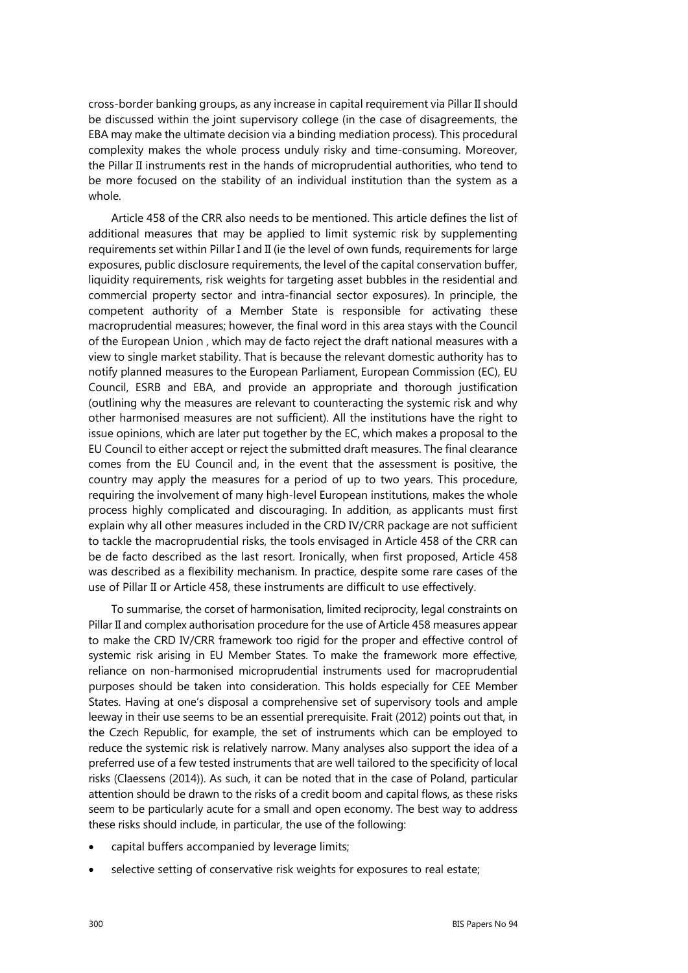cross-border banking groups, as any increase in capital requirement via Pillar II should be discussed within the joint supervisory college (in the case of disagreements, the EBA may make the ultimate decision via a binding mediation process). This procedural complexity makes the whole process unduly risky and time-consuming. Moreover, the Pillar II instruments rest in the hands of microprudential authorities, who tend to be more focused on the stability of an individual institution than the system as a whole.

Article 458 of the CRR also needs to be mentioned. This article defines the list of additional measures that may be applied to limit systemic risk by supplementing requirements set within Pillar I and II (ie the level of own funds, requirements for large exposures, public disclosure requirements, the level of the capital conservation buffer, liquidity requirements, risk weights for targeting asset bubbles in the residential and commercial property sector and intra-financial sector exposures). In principle, the competent authority of a Member State is responsible for activating these macroprudential measures; however, the final word in this area stays with the Council of the European Union , which may de facto reject the draft national measures with a view to single market stability. That is because the relevant domestic authority has to notify planned measures to the European Parliament, European Commission (EC), EU Council, ESRB and EBA, and provide an appropriate and thorough justification (outlining why the measures are relevant to counteracting the systemic risk and why other harmonised measures are not sufficient). All the institutions have the right to issue opinions, which are later put together by the EC, which makes a proposal to the EU Council to either accept or reject the submitted draft measures. The final clearance comes from the EU Council and, in the event that the assessment is positive, the country may apply the measures for a period of up to two years. This procedure, requiring the involvement of many high-level European institutions, makes the whole process highly complicated and discouraging. In addition, as applicants must first explain why all other measures included in the CRD IV/CRR package are not sufficient to tackle the macroprudential risks, the tools envisaged in Article 458 of the CRR can be de facto described as the last resort. Ironically, when first proposed, Article 458 was described as a flexibility mechanism. In practice, despite some rare cases of the use of Pillar II or Article 458, these instruments are difficult to use effectively.

To summarise, the corset of harmonisation, limited reciprocity, legal constraints on Pillar II and complex authorisation procedure for the use of Article 458 measures appear to make the CRD IV/CRR framework too rigid for the proper and effective control of systemic risk arising in EU Member States. To make the framework more effective, reliance on non-harmonised microprudential instruments used for macroprudential purposes should be taken into consideration. This holds especially for CEE Member States. Having at one's disposal a comprehensive set of supervisory tools and ample leeway in their use seems to be an essential prerequisite. Frait (2012) points out that, in the Czech Republic, for example, the set of instruments which can be employed to reduce the systemic risk is relatively narrow. Many analyses also support the idea of a preferred use of a few tested instruments that are well tailored to the specificity of local risks (Claessens (2014)). As such, it can be noted that in the case of Poland, particular attention should be drawn to the risks of a credit boom and capital flows, as these risks seem to be particularly acute for a small and open economy. The best way to address these risks should include, in particular, the use of the following:

- capital buffers accompanied by leverage limits;
- selective setting of conservative risk weights for exposures to real estate;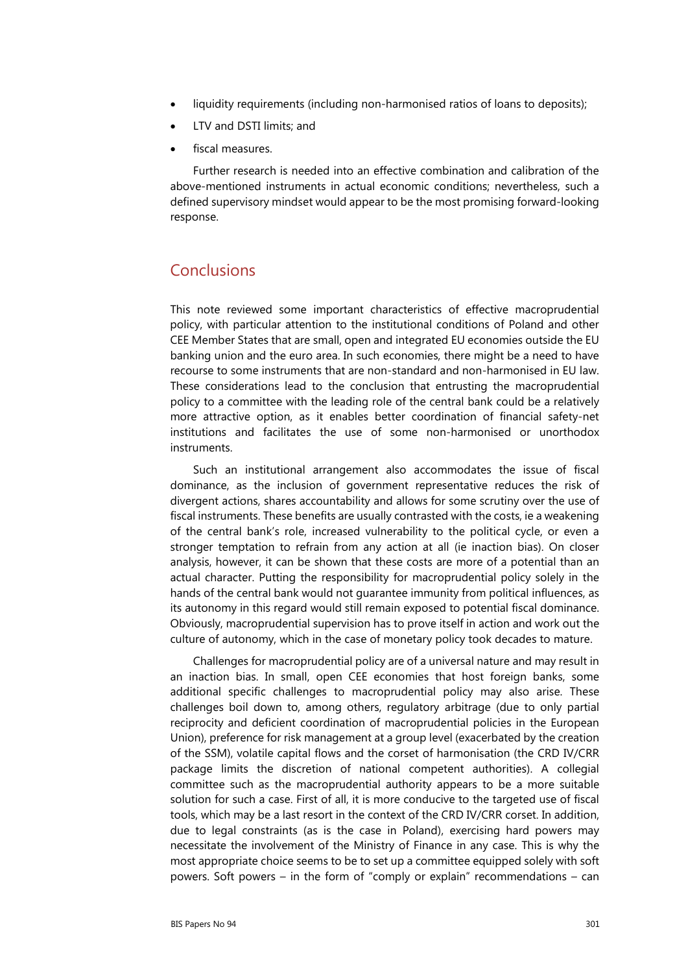- liquidity requirements (including non-harmonised ratios of loans to deposits);
- LTV and DSTI limits; and
- fiscal measures.

Further research is needed into an effective combination and calibration of the above-mentioned instruments in actual economic conditions; nevertheless, such a defined supervisory mindset would appear to be the most promising forward-looking response.

# Conclusions

This note reviewed some important characteristics of effective macroprudential policy, with particular attention to the institutional conditions of Poland and other CEE Member States that are small, open and integrated EU economies outside the EU banking union and the euro area. In such economies, there might be a need to have recourse to some instruments that are non-standard and non-harmonised in EU law. These considerations lead to the conclusion that entrusting the macroprudential policy to a committee with the leading role of the central bank could be a relatively more attractive option, as it enables better coordination of financial safety-net institutions and facilitates the use of some non-harmonised or unorthodox instruments.

Such an institutional arrangement also accommodates the issue of fiscal dominance, as the inclusion of government representative reduces the risk of divergent actions, shares accountability and allows for some scrutiny over the use of fiscal instruments. These benefits are usually contrasted with the costs, ie a weakening of the central bank's role, increased vulnerability to the political cycle, or even a stronger temptation to refrain from any action at all (ie inaction bias). On closer analysis, however, it can be shown that these costs are more of a potential than an actual character. Putting the responsibility for macroprudential policy solely in the hands of the central bank would not guarantee immunity from political influences, as its autonomy in this regard would still remain exposed to potential fiscal dominance. Obviously, macroprudential supervision has to prove itself in action and work out the culture of autonomy, which in the case of monetary policy took decades to mature.

Challenges for macroprudential policy are of a universal nature and may result in an inaction bias. In small, open CEE economies that host foreign banks, some additional specific challenges to macroprudential policy may also arise. These challenges boil down to, among others, regulatory arbitrage (due to only partial reciprocity and deficient coordination of macroprudential policies in the European Union), preference for risk management at a group level (exacerbated by the creation of the SSM), volatile capital flows and the corset of harmonisation (the CRD IV/CRR package limits the discretion of national competent authorities). A collegial committee such as the macroprudential authority appears to be a more suitable solution for such a case. First of all, it is more conducive to the targeted use of fiscal tools, which may be a last resort in the context of the CRD IV/CRR corset. In addition, due to legal constraints (as is the case in Poland), exercising hard powers may necessitate the involvement of the Ministry of Finance in any case. This is why the most appropriate choice seems to be to set up a committee equipped solely with soft powers. Soft powers – in the form of "comply or explain" recommendations – can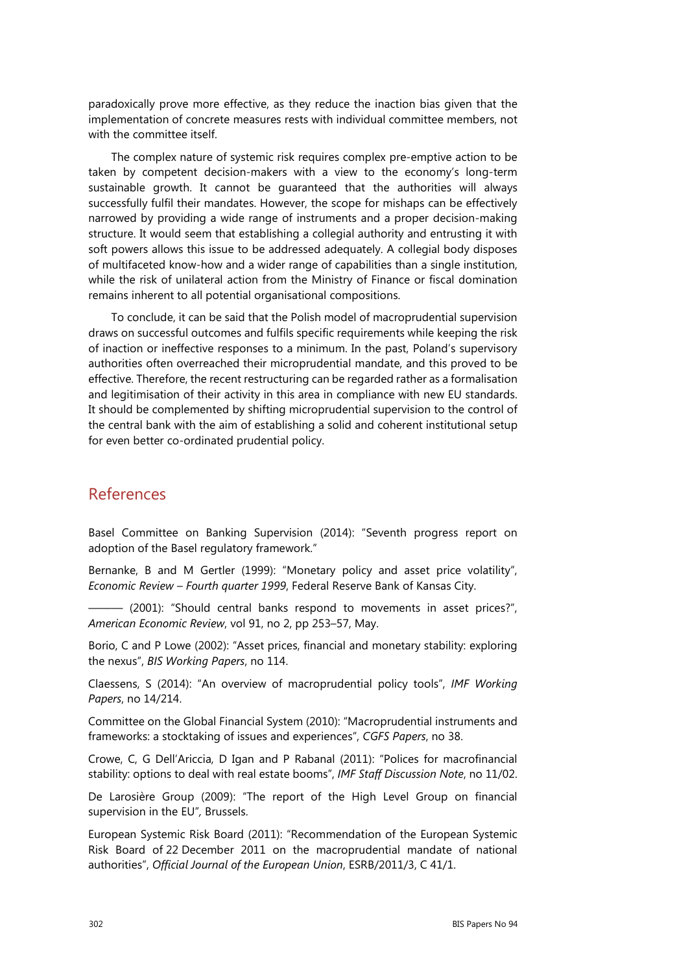paradoxically prove more effective, as they reduce the inaction bias given that the implementation of concrete measures rests with individual committee members, not with the committee itself.

The complex nature of systemic risk requires complex pre-emptive action to be taken by competent decision-makers with a view to the economy's long-term sustainable growth. It cannot be guaranteed that the authorities will always successfully fulfil their mandates. However, the scope for mishaps can be effectively narrowed by providing a wide range of instruments and a proper decision-making structure. It would seem that establishing a collegial authority and entrusting it with soft powers allows this issue to be addressed adequately. A collegial body disposes of multifaceted know-how and a wider range of capabilities than a single institution, while the risk of unilateral action from the Ministry of Finance or fiscal domination remains inherent to all potential organisational compositions.

To conclude, it can be said that the Polish model of macroprudential supervision draws on successful outcomes and fulfils specific requirements while keeping the risk of inaction or ineffective responses to a minimum. In the past, Poland's supervisory authorities often overreached their microprudential mandate, and this proved to be effective. Therefore, the recent restructuring can be regarded rather as a formalisation and legitimisation of their activity in this area in compliance with new EU standards. It should be complemented by shifting microprudential supervision to the control of the central bank with the aim of establishing a solid and coherent institutional setup for even better co-ordinated prudential policy.

## References

Basel Committee on Banking Supervision (2014): "Seventh progress report on adoption of the Basel regulatory framework."

Bernanke, B and M Gertler (1999): "Monetary policy and asset price volatility", *Economic Review – Fourth quarter 1999*, Federal Reserve Bank of Kansas City.

 $-$  (2001): "Should central banks respond to movements in asset prices?", *American Economic Review*, vol 91, no 2, pp 253–57, May.

Borio, C and P Lowe (2002): "Asset prices, financial and monetary stability: exploring the nexus", *BIS Working Papers*, no 114.

Claessens, S (2014): "An overview of macroprudential policy tools", *IMF Working Papers*, no 14/214.

Committee on the Global Financial System (2010): "Macroprudential instruments and frameworks: a stocktaking of issues and experiences", *CGFS Papers*, no 38.

Crowe, C, G Dell'Ariccia, D Igan and P Rabanal (2011): "Polices for macrofinancial stability: options to deal with real estate booms", *IMF Staff Discussion Note*, no 11/02.

De Larosière Group (2009): "The report of the High Level Group on financial supervision in the EU"*,* Brussels.

European Systemic Risk Board (2011): "Recommendation of the European Systemic Risk Board of 22 December 2011 on the macroprudential mandate of national authorities", *Official Journal of the European Union*, ESRB/2011/3, C 41/1.